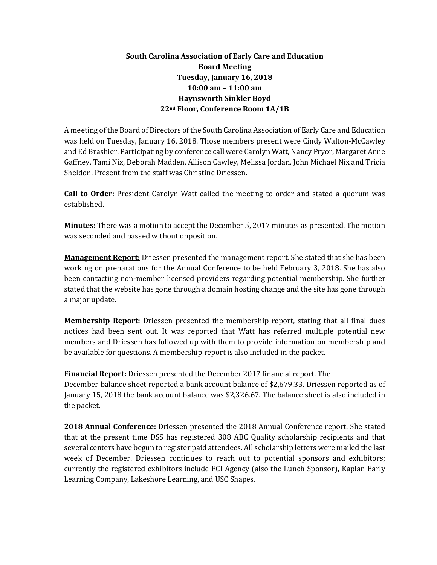## **South Carolina Association of Early Care and Education Board Meeting Tuesday, January 16, 2018 10:00 am – 11:00 am Haynsworth Sinkler Boyd 22nd Floor, Conference Room 1A/1B**

A meeting of the Board of Directors of the South Carolina Association of Early Care and Education was held on Tuesday, January 16, 2018. Those members present were Cindy Walton-McCawley and Ed Brashier. Participating by conference call were Carolyn Watt, Nancy Pryor, Margaret Anne Gaffney, Tami Nix, Deborah Madden, Allison Cawley, Melissa Jordan, John Michael Nix and Tricia Sheldon. Present from the staff was Christine Driessen.

**Call to Order:** President Carolyn Watt called the meeting to order and stated a quorum was established.

**Minutes:** There was a motion to accept the December 5, 2017 minutes as presented. The motion was seconded and passed without opposition.

**Management Report:** Driessen presented the management report. She stated that she has been working on preparations for the Annual Conference to be held February 3, 2018. She has also been contacting non-member licensed providers regarding potential membership. She further stated that the website has gone through a domain hosting change and the site has gone through a major update.

**Membership Report:** Driessen presented the membership report, stating that all final dues notices had been sent out. It was reported that Watt has referred multiple potential new members and Driessen has followed up with them to provide information on membership and be available for questions. A membership report is also included in the packet.

**Financial Report:** Driessen presented the December 2017 financial report. The December balance sheet reported a bank account balance of \$2,679.33. Driessen reported as of January 15, 2018 the bank account balance was \$2,326.67. The balance sheet is also included in the packet.

**2018 Annual Conference:** Driessen presented the 2018 Annual Conference report. She stated that at the present time DSS has registered 308 ABC Quality scholarship recipients and that several centers have begun to register paid attendees. All scholarship letters were mailed the last week of December. Driessen continues to reach out to potential sponsors and exhibitors; currently the registered exhibitors include FCI Agency (also the Lunch Sponsor), Kaplan Early Learning Company, Lakeshore Learning, and USC Shapes.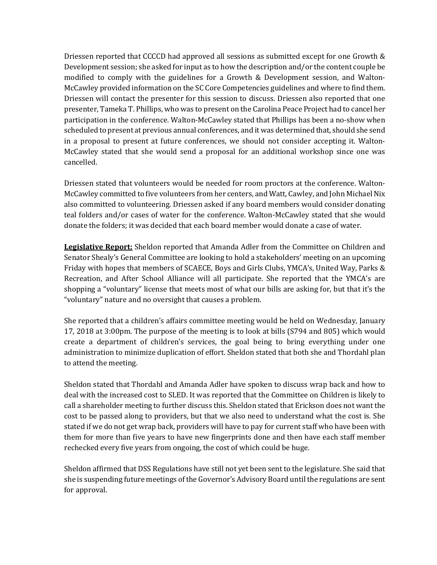Driessen reported that CCCCD had approved all sessions as submitted except for one Growth & Development session; she asked for input as to how the description and/or the content couple be modified to comply with the guidelines for a Growth & Development session, and Walton-McCawley provided information on the SC Core Competencies guidelines and where to find them. Driessen will contact the presenter for this session to discuss. Driessen also reported that one presenter, Tameka T. Phillips, who was to present on the Carolina Peace Project had to cancel her participation in the conference. Walton-McCawley stated that Phillips has been a no-show when scheduled to present at previous annual conferences, and it was determined that, should she send in a proposal to present at future conferences, we should not consider accepting it. Walton-McCawley stated that she would send a proposal for an additional workshop since one was cancelled.

Driessen stated that volunteers would be needed for room proctors at the conference. Walton-McCawley committed to five volunteers from her centers, and Watt, Cawley, and John Michael Nix also committed to volunteering. Driessen asked if any board members would consider donating teal folders and/or cases of water for the conference. Walton-McCawley stated that she would donate the folders; it was decided that each board member would donate a case of water.

**Legislative Report:** Sheldon reported that Amanda Adler from the Committee on Children and Senator Shealy's General Committee are looking to hold a stakeholders' meeting on an upcoming Friday with hopes that members of SCAECE, Boys and Girls Clubs, YMCA's, United Way, Parks & Recreation, and After School Alliance will all participate. She reported that the YMCA's are shopping a "voluntary" license that meets most of what our bills are asking for, but that it's the "voluntary" nature and no oversight that causes a problem.

She reported that a children's affairs committee meeting would be held on Wednesday, January 17, 2018 at 3:00pm. The purpose of the meeting is to look at bills (S794 and 805) which would create a department of children's services, the goal being to bring everything under one administration to minimize duplication of effort. Sheldon stated that both she and Thordahl plan to attend the meeting.

Sheldon stated that Thordahl and Amanda Adler have spoken to discuss wrap back and how to deal with the increased cost to SLED. It was reported that the Committee on Children is likely to call a shareholder meeting to further discuss this. Sheldon stated that Erickson does not want the cost to be passed along to providers, but that we also need to understand what the cost is. She stated if we do not get wrap back, providers will have to pay for current staff who have been with them for more than five years to have new fingerprints done and then have each staff member rechecked every five years from ongoing, the cost of which could be huge.

Sheldon affirmed that DSS Regulations have still not yet been sent to the legislature. She said that she is suspending future meetings of the Governor's Advisory Board until the regulations are sent for approval.